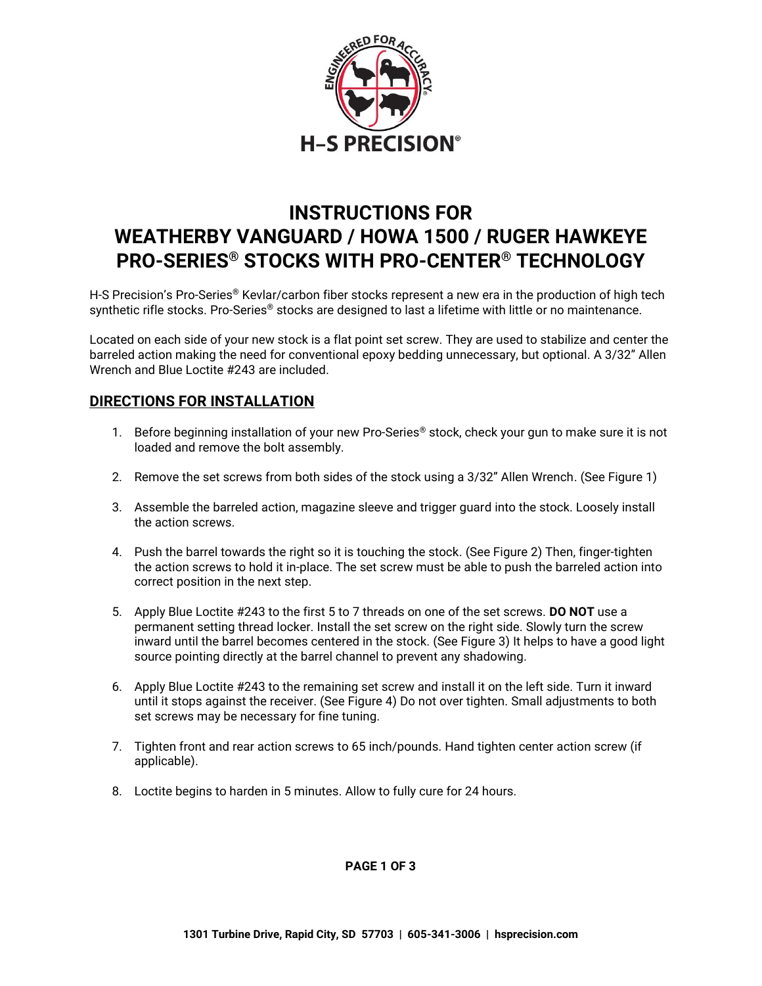

# **INSTRUCTIONS FOR WEATHERBY VANGUARD / HOWA 1500 / RUGER HAWKEYE PRO-SERIES® STOCKS WITH PRO-CENTER® TECHNOLOGY**

H-S Precision's Pro-Series® Kevlar/carbon fiber stocks represent a new era in the production of high tech synthetic rifle stocks. Pro-Series® stocks are designed to last a lifetime with little or no maintenance.

Located on each side of your new stock is a flat point set screw. They are used to stabilize and center the barreled action making the need for conventional epoxy bedding unnecessary, but optional. A 3/32" Allen Wrench and Blue Loctite #243 are included.

## **DIRECTIONS FOR INSTALLATION**

- 1. Before beginning installation of your new Pro-Series<sup>®</sup> stock, check your gun to make sure it is not loaded and remove the bolt assembly.
- 2. Remove the set screws from both sides of the stock using a 3/32" Allen Wrench. (See Figure 1)
- 3. Assemble the barreled action, magazine sleeve and trigger guard into the stock. Loosely install the action screws.
- 4. Push the barrel towards the right so it is touching the stock. (See Figure 2) Then, finger-tighten the action screws to hold it in-place. The set screw must be able to push the barreled action into correct position in the next step.
- 5. Apply Blue Loctite #243 to the first 5 to 7 threads on one of the set screws. **DO NOT** use a permanent setting thread locker. Install the set screw on the right side. Slowly turn the screw inward until the barrel becomes centered in the stock. (See Figure 3) It helps to have a good light source pointing directly at the barrel channel to prevent any shadowing.
- 6. Apply Blue Loctite #243 to the remaining set screw and install it on the left side. Turn it inward until it stops against the receiver. (See Figure 4) Do not over tighten. Small adjustments to both set screws may be necessary for fine tuning.
- 7. Tighten front and rear action screws to 65 inch/pounds. Hand tighten center action screw (if applicable).
- 8. Loctite begins to harden in 5 minutes. Allow to fully cure for 24 hours.

**PAGE 1 OF 3**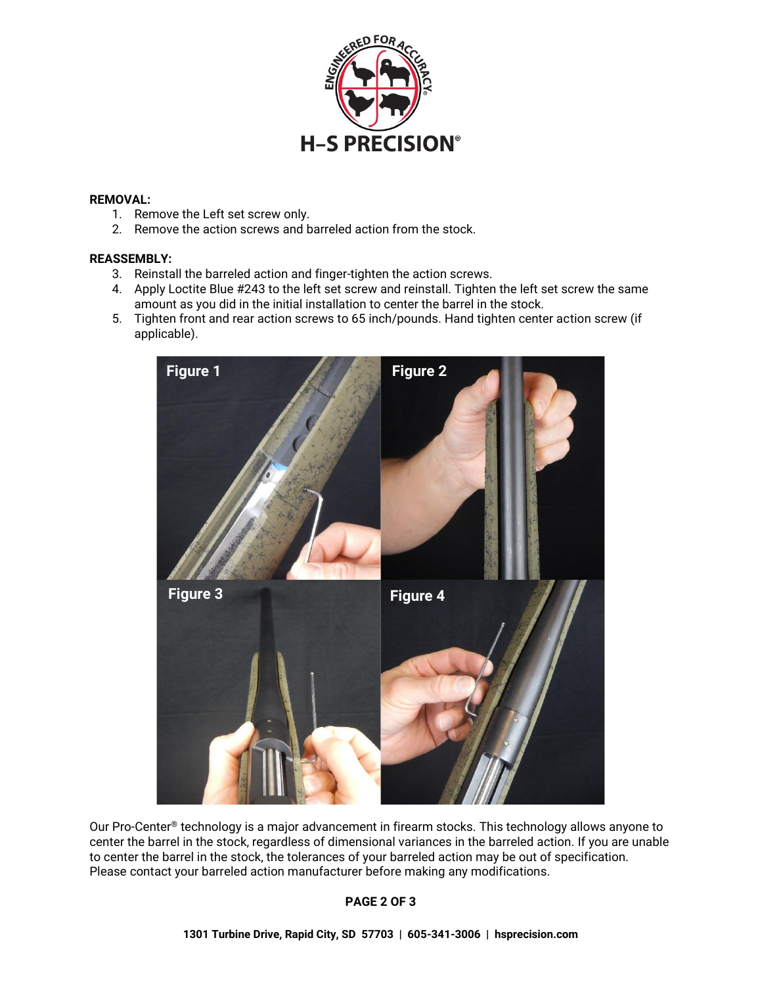

### **REMOVAL:**

- 1. Remove the Left set screw only.
- 2. Remove the action screws and barreled action from the stock.

#### **REASSEMBLY:**

- 3. Reinstall the barreled action and finger-tighten the action screws.
- 4. Apply Loctite Blue #243 to the left set screw and reinstall. Tighten the left set screw the same amount as you did in the initial installation to center the barrel in the stock.
- 5. Tighten front and rear action screws to 65 inch/pounds. Hand tighten center action screw (if applicable).



Our Pro-Center<sup>®</sup> technology is a major advancement in firearm stocks. This technology allows anyone to center the barrel in the stock, regardless of dimensional variances in the barreled action. If you are unable to center the barrel in the stock, the tolerances of your barreled action may be out of specification. Please contact your barreled action manufacturer before making any modifications.

#### **PAGE 2 OF 3**